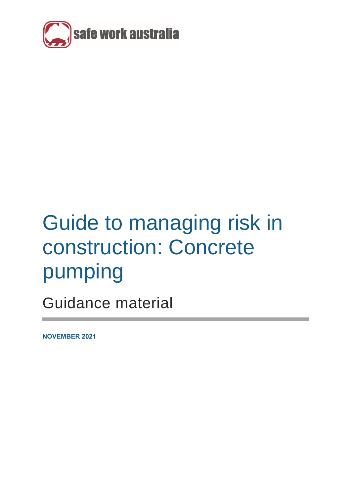

# Guide to managing risk in construction: Concrete pumping

Guidance material

**NOVEMBER 2021**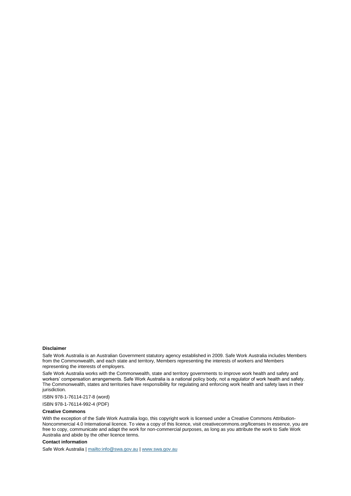#### **Disclaimer**

Safe Work Australia is an Australian Government statutory agency established in 2009. Safe Work Australia includes Members from the Commonwealth, and each state and territory, Members representing the interests of workers and Members representing the interests of employers.

Safe Work Australia works with the Commonwealth, state and territory governments to improve work health and safety and workers' compensation arrangements. Safe Work Australia is a national policy body, not a regulator of work health and safety. The Commonwealth, states and territories have responsibility for regulating and enforcing work health and safety laws in their jurisdiction.

ISBN 978-1-76114-217-8 (word)

ISBN 978-1-76114-992-4 (PDF)

#### **Creative Commons**

With the exception of the Safe Work Australia logo, this copyright work is licensed under a Creative Commons Attribution-Noncommercial 4.0 International licence. To view a copy of this licence, visit creativecommons.org/licenses In essence, you are free to copy, communicate and adapt the work for non-commercial purposes, as long as you attribute the work to Safe Work Australia and abide by the other licence terms.

#### **Contact information**

Safe Work Australia [| mailto:info@swa.gov.au](mailto:info@swa.gov.au) | [www.swa.gov.au](http://swa.hosts.application.enet/business-support/Communication/Documents/www.swa.gov.au)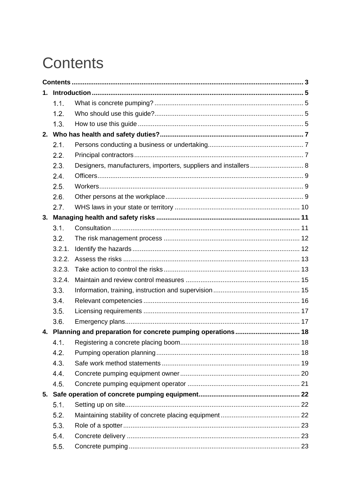# <span id="page-2-0"></span>**Contents**

| 1. |        |                                                                 |  |
|----|--------|-----------------------------------------------------------------|--|
|    | 1.1.   |                                                                 |  |
|    | 1.2.   |                                                                 |  |
|    | 1.3.   |                                                                 |  |
|    |        |                                                                 |  |
|    | 2.1.   |                                                                 |  |
|    | 2.2.   |                                                                 |  |
|    | 2.3.   | Designers, manufacturers, importers, suppliers and installers 8 |  |
|    | 2.4.   |                                                                 |  |
|    | 2.5.   |                                                                 |  |
|    | 2.6.   |                                                                 |  |
|    | 2.7.   |                                                                 |  |
|    |        |                                                                 |  |
|    | 3.1.   |                                                                 |  |
|    | 3.2.   |                                                                 |  |
|    | 3.2.1. |                                                                 |  |
|    | 3.2.2. |                                                                 |  |
|    | 3.2.3. |                                                                 |  |
|    | 3.2.4. |                                                                 |  |
|    | 3.3.   |                                                                 |  |
|    | 3.4.   |                                                                 |  |
|    | 3.5.   |                                                                 |  |
|    | 3.6.   |                                                                 |  |
| 4. |        |                                                                 |  |
|    |        |                                                                 |  |
|    | 4.2.   |                                                                 |  |
|    | 4.3.   |                                                                 |  |
|    | 4.4.   |                                                                 |  |
|    | 4.5.   |                                                                 |  |
|    |        |                                                                 |  |
|    | 5.1.   |                                                                 |  |
|    | 5.2.   |                                                                 |  |
|    | 5.3.   |                                                                 |  |
|    | 5.4.   |                                                                 |  |
|    | 5.5.   |                                                                 |  |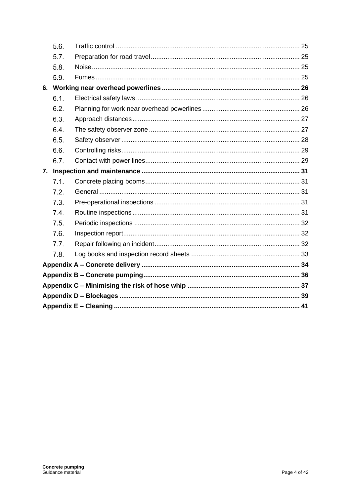|    | 5.6. |  |  |
|----|------|--|--|
|    | 5.7. |  |  |
|    | 5.8. |  |  |
|    | 5.9. |  |  |
|    |      |  |  |
|    | 6.1. |  |  |
|    | 6.2. |  |  |
|    | 6.3. |  |  |
|    | 6.4. |  |  |
|    | 6.5. |  |  |
|    | 6.6. |  |  |
|    | 6.7. |  |  |
| 7. |      |  |  |
|    | 7.1. |  |  |
|    | 7.2. |  |  |
|    | 7.3. |  |  |
|    | 7.4. |  |  |
|    | 7.5. |  |  |
|    | 7.6. |  |  |
|    | 7.7. |  |  |
|    | 7.8. |  |  |
|    |      |  |  |
|    |      |  |  |
|    |      |  |  |
|    |      |  |  |
|    |      |  |  |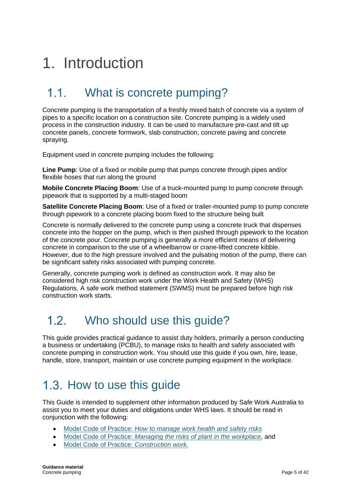# <span id="page-4-0"></span>1. Introduction

### <span id="page-4-1"></span>What is concrete pumping?  $11$

Concrete pumping is the transportation of a freshly mixed batch of concrete via a system of pipes to a specific location on a construction site. Concrete pumping is a widely used process in the construction industry. It can be used to manufacture pre-cast and tilt up concrete panels, concrete formwork, slab construction, concrete paving and concrete spraying.

Equipment used in concrete pumping includes the following:

**Line Pump**: Use of a fixed or mobile pump that pumps concrete through pipes and/or flexible hoses that run along the ground

**Mobile Concrete Placing Boom**: Use of a truck-mounted pump to pump concrete through pipework that is supported by a multi-staged boom

**Satellite Concrete Placing Boom**: Use of a fixed or trailer-mounted pump to pump concrete through pipework to a concrete placing boom fixed to the structure being built

Concrete is normally delivered to the concrete pump using a concrete truck that dispenses concrete into the hopper on the pump, which is then pushed through pipework to the location of the concrete pour. Concrete pumping is generally a more efficient means of delivering concrete in comparison to the use of a wheelbarrow or crane-lifted concrete kibble. However, due to the high pressure involved and the pulsating motion of the pump, there can be significant safety risks associated with pumping concrete.

Generally, concrete pumping work is defined as construction work. It may also be considered high risk construction work under the Work Health and Safety (WHS) Regulations. A safe work method statement (SWMS) must be prepared before high risk construction work starts.

#### <span id="page-4-2"></span> $12$ Who should use this guide?

This guide provides practical guidance to assist duty holders, primarily a person conducting a business or undertaking (PCBU), to manage risks to health and safety associated with concrete pumping in construction work. You should use this guide if you own, hire, lease, handle, store, transport, maintain or use concrete pumping equipment in the workplace.

## <span id="page-4-3"></span>1.3. How to use this guide

This Guide is intended to supplement other information produced by Safe Work Australia to assist you to meet your duties and obligations under WHS laws. It should be read in conjunction with the following:

- Model Code of Practice: *[How to manage work health and safety risks](https://www.safeworkaustralia.gov.au/doc/model-code-practice-how-manage-work-health-and-safety-risks)*
- Model Code of Practice: *Managing the [risks of plant in the workplace](https://www.safeworkaustralia.gov.au/doc/model-code-practice-managing-risks-plant-workplace)*, and
- Model Code of Practice: *[Construction work.](https://www.safeworkaustralia.gov.au/doc/model-code-practice-construction-work)*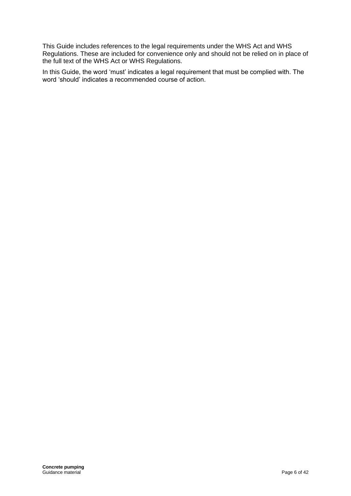This Guide includes references to the legal requirements under the WHS Act and WHS Regulations. These are included for convenience only and should not be relied on in place of the full text of the WHS Act or WHS Regulations.

In this Guide, the word 'must' indicates a legal requirement that must be complied with. The word 'should' indicates a recommended course of action.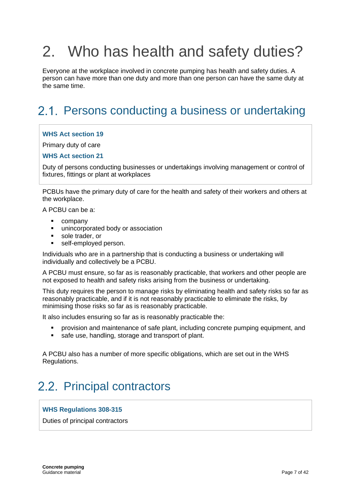# <span id="page-6-0"></span>2. Who has health and safety duties?

Everyone at the workplace involved in concrete pumping has health and safety duties. A person can have more than one duty and more than one person can have the same duty at the same time.

## <span id="page-6-1"></span>2.1. Persons conducting a business or undertaking

### **WHS Act section 19**

Primary duty of care

### **WHS Act section 21**

Duty of persons conducting businesses or undertakings involving management or control of fixtures, fittings or plant at workplaces

PCBUs have the primary duty of care for the health and safety of their workers and others at the workplace.

A PCBU can be a:

- company
- unincorporated body or association
- sole trader, or
- self-employed person.

Individuals who are in a partnership that is conducting a business or undertaking will individually and collectively be a PCBU.

A PCBU must ensure, so far as is reasonably practicable, that workers and other people are not exposed to health and safety risks arising from the business or undertaking.

This duty requires the person to manage risks by eliminating health and safety risks so far as reasonably practicable, and if it is not reasonably practicable to eliminate the risks, by minimising those risks so far as is reasonably practicable.

It also includes ensuring so far as is reasonably practicable the:

- provision and maintenance of safe plant, including concrete pumping equipment, and
- safe use, handling, storage and transport of plant.

A PCBU also has a number of more specific obligations, which are set out in the WHS Regulations.

## <span id="page-6-2"></span>2.2. Principal contractors

### **WHS Regulations 308-315**

Duties of principal contractors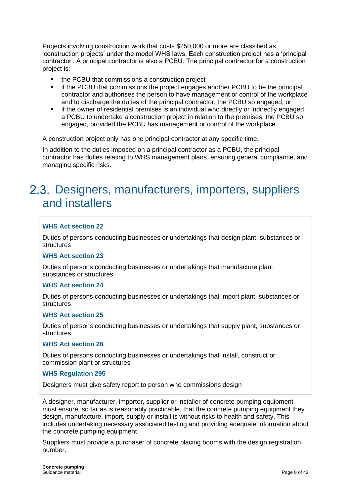Projects involving construction work that costs \$250,000 or more are classified as 'construction projects' under the model WHS laws. Each construction project has a 'principal contractor'. A principal contractor is also a PCBU. The principal contractor for a construction project is:

- the PCBU that commissions a construction project
- **•** if the PCBU that commissions the project engages another PCBU to be the principal contractor and authorises the person to have management or control of the workplace and to discharge the duties of the principal contractor, the PCBU so engaged, or
- if the owner of residential premises is an individual who directly or indirectly engaged a PCBU to undertake a construction project in relation to the premises, the PCBU so engaged, provided the PCBU has management or control of the workplace.

A construction project only has one principal contractor at any specific time.

In addition to the duties imposed on a principal contractor as a PCBU, the principal contractor has duties relating to WHS management plans, ensuring general compliance, and managing specific risks.

## <span id="page-7-0"></span>2.3. Designers, manufacturers, importers, suppliers and installers

### **WHS Act section 22**

Duties of persons conducting businesses or undertakings that design plant, substances or **structures** 

### **WHS Act section 23**

Duties of persons conducting businesses or undertakings that manufacture plant, substances or structures

#### **WHS Act section 24**

Duties of persons conducting businesses or undertakings that import plant, substances or structures

#### **WHS Act section 25**

Duties of persons conducting businesses or undertakings that supply plant, substances or structures

### **WHS Act section 26**

Duties of persons conducting businesses or undertakings that install, construct or commission plant or structures

### **WHS Regulation 295**

Designers must give safety report to person who commissions design

A designer, manufacturer, importer, supplier or installer of concrete pumping equipment must ensure, so far as is reasonably practicable, that the concrete pumping equipment they design, manufacture, import, supply or install is without risks to health and safety. This includes undertaking necessary associated testing and providing adequate information about the concrete pumping equipment.

Suppliers must provide a purchaser of concrete placing booms with the design registration number.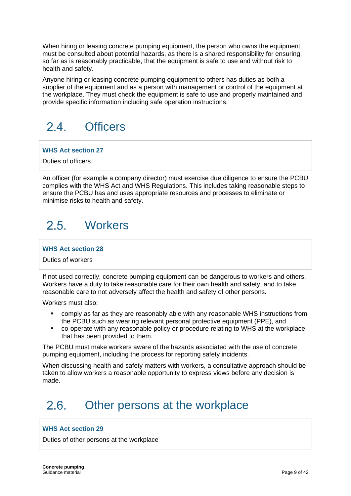When hiring or leasing concrete pumping equipment, the person who owns the equipment must be consulted about potential hazards, as there is a shared responsibility for ensuring, so far as is reasonably practicable, that the equipment is safe to use and without risk to health and safety.

Anyone hiring or leasing concrete pumping equipment to others has duties as both a supplier of the equipment and as a person with management or control of the equipment at the workplace. They must check the equipment is safe to use and properly maintained and provide specific information including safe operation instructions.

### <span id="page-8-0"></span> $24$ **Officers**

**WHS Act section 27**

Duties of officers

An officer (for example a company director) must exercise due diligence to ensure the PCBU complies with the WHS Act and WHS Regulations. This includes taking reasonable steps to ensure the PCBU has and uses appropriate resources and processes to eliminate or minimise risks to health and safety.

### <span id="page-8-1"></span> $25$ **Workers**

**WHS Act section 28**

Duties of workers

If not used correctly, concrete pumping equipment can be dangerous to workers and others. Workers have a duty to take reasonable care for their own health and safety, and to take reasonable care to not adversely affect the health and safety of other persons.

Workers must also:

- comply as far as they are reasonably able with any reasonable WHS instructions from the PCBU such as wearing relevant personal protective equipment (PPE), and
- co-operate with any reasonable policy or procedure relating to WHS at the workplace that has been provided to them.

The PCBU must make workers aware of the hazards associated with the use of concrete pumping equipment, including the process for reporting safety incidents.

When discussing health and safety matters with workers, a consultative approach should be taken to allow workers a reasonable opportunity to express views before any decision is made.

### <span id="page-8-2"></span> $2.6$ Other persons at the workplace

### **WHS Act section 29**

Duties of other persons at the workplace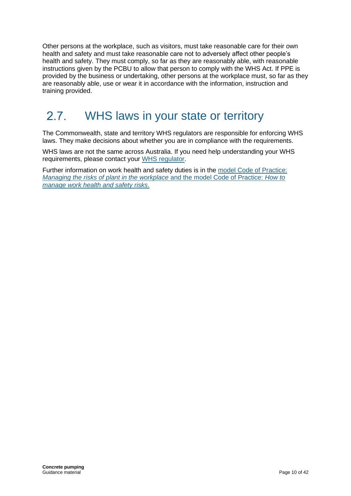Other persons at the workplace, such as visitors, must take reasonable care for their own health and safety and must take reasonable care not to adversely affect other people's health and safety. They must comply, so far as they are reasonably able, with reasonable instructions given by the PCBU to allow that person to comply with the WHS Act. If PPE is provided by the business or undertaking, other persons at the workplace must, so far as they are reasonably able, use or wear it in accordance with the information, instruction and training provided.

#### <span id="page-9-0"></span>WHS laws in your state or territory  $27$

The Commonwealth, state and territory WHS regulators are responsible for enforcing WHS laws. They make decisions about whether you are in compliance with the requirements.

WHS laws are not the same across Australia. If you need help understanding your WHS requirements, please contact your [WHS regulator.](https://www.safeworkaustralia.gov.au/whs-authorities-contact-information)

Further information on work health and safety duties is in the [model Code of Practice:](https://www.safeworkaustralia.gov.au/doc/model-code-practice-managing-risks-plant-workplace)  *[Managing the risks of plant in the workplace](https://www.safeworkaustralia.gov.au/doc/model-code-practice-managing-risks-plant-workplace)* and the model Code of Practice: *How to [manage work health and safety risks](https://www.safeworkaustralia.gov.au/doc/model-code-practice-managing-risks-plant-workplace)*.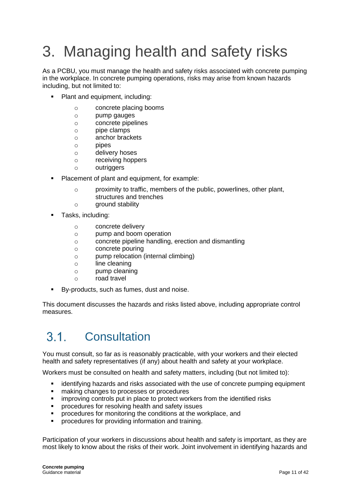# <span id="page-10-0"></span>3. Managing health and safety risks

As a PCBU, you must manage the health and safety risks associated with concrete pumping in the workplace. In concrete pumping operations, risks may arise from known hazards including, but not limited to:

- Plant and equipment, including:
	- o concrete placing booms
	- o pump gauges
	- o concrete pipelines
	- $\circ$  pipe clamps
	- o anchor brackets
	- o pipes
	- o delivery hoses
	- o receiving hoppers
	- o outriggers
- Placement of plant and equipment, for example:
	- o proximity to traffic, members of the public, powerlines, other plant, structures and trenches
	- o ground stability
- Tasks, including:
	- o concrete delivery
	- o pump and boom operation
	- o concrete pipeline handling, erection and dismantling
	- o concrete pouring
	- o pump relocation (internal climbing)
	- o line cleaning
	- o pump cleaning
	- o road travel
- By-products, such as fumes, dust and noise.

This document discusses the hazards and risks listed above, including appropriate control measures.

#### <span id="page-10-1"></span> $3.1.$ **Consultation**

You must consult, so far as is reasonably practicable, with your workers and their elected health and safety representatives (if any) about health and safety at your workplace.

Workers must be consulted on health and safety matters, including (but not limited to):

- identifying hazards and risks associated with the use of concrete pumping equipment
- making changes to processes or procedures
- improving controls put in place to protect workers from the identified risks
- procedures for resolving health and safety issues
- procedures for monitoring the conditions at the workplace, and
- **•** procedures for providing information and training.

Participation of your workers in discussions about health and safety is important, as they are most likely to know about the risks of their work. Joint involvement in identifying hazards and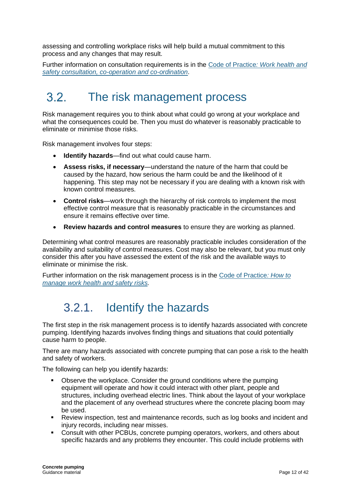assessing and controlling workplace risks will help build a mutual commitment to this process and any changes that may result.

Further information on consultation requirements is in the Code of Practice*[: Work health and](https://www.safeworkaustralia.gov.au/doc/model-code-practice-work-health-and-safety-consultation-cooperation-and-coordination)  [safety consultation, co-operation and co-ordination](https://www.safeworkaustralia.gov.au/doc/model-code-practice-work-health-and-safety-consultation-cooperation-and-coordination)*.

#### <span id="page-11-0"></span> $3.2<sub>1</sub>$ The risk management process

Risk management requires you to think about what could go wrong at your workplace and what the consequences could be. Then you must do whatever is reasonably practicable to eliminate or minimise those risks.

Risk management involves four steps:

- **Identify hazards**—find out what could cause harm.
- **Assess risks, if necessary**—understand the nature of the harm that could be caused by the hazard, how serious the harm could be and the likelihood of it happening. This step may not be necessary if you are dealing with a known risk with known control measures.
- **Control risks**—work through the hierarchy of risk controls to implement the most effective control measure that is reasonably practicable in the circumstances and ensure it remains effective over time.
- **Review hazards and control measures** to ensure they are working as planned.

Determining what control measures are reasonably practicable includes consideration of the availability and suitability of control measures. Cost may also be relevant, but you must only consider this after you have assessed the extent of the risk and the available ways to eliminate or minimise the risk.

<span id="page-11-1"></span>Further information on the risk management process is in the [Code of Practice](https://www.safeworkaustralia.gov.au/doc/model-code-practice-how-manage-work-health-and-safety-risks)*: How to [manage work health and safety risks.](https://www.safeworkaustralia.gov.au/doc/model-code-practice-how-manage-work-health-and-safety-risks)*

## 3.2.1. Identify the hazards

The first step in the risk management process is to identify hazards associated with concrete pumping. Identifying hazards involves finding things and situations that could potentially cause harm to people.

There are many hazards associated with concrete pumping that can pose a risk to the health and safety of workers.

The following can help you identify hazards:

- Observe the workplace. Consider the ground conditions where the pumping equipment will operate and how it could interact with other plant, people and structures, including overhead electric lines. Think about the layout of your workplace and the placement of any overhead structures where the concrete placing boom may be used.
- Review inspection, test and maintenance records, such as log books and incident and injury records, including near misses.
- Consult with other PCBUs, concrete pumping operators, workers, and others about specific hazards and any problems they encounter. This could include problems with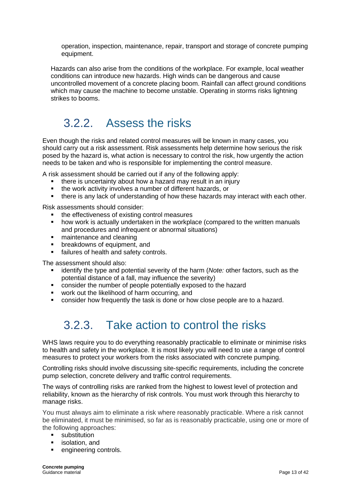operation, inspection, maintenance, repair, transport and storage of concrete pumping equipment.

Hazards can also arise from the conditions of the workplace. For example, local weather conditions can introduce new hazards. High winds can be dangerous and cause uncontrolled movement of a concrete placing boom. Rainfall can affect ground conditions which may cause the machine to become unstable. Operating in storms risks lightning strikes to booms.

## <span id="page-12-0"></span>3.2.2. Assess the risks

Even though the risks and related control measures will be known in many cases, you should carry out a risk assessment. Risk assessments help determine how serious the risk posed by the hazard is, what action is necessary to control the risk, how urgently the action needs to be taken and who is responsible for implementing the control measure.

A risk assessment should be carried out if any of the following apply:

- there is uncertainty about how a hazard may result in an injury
- the work activity involves a number of different hazards, or
- **•** there is any lack of understanding of how these hazards may interact with each other.

Risk assessments should consider:

- the effectiveness of existing control measures
- how work is actually undertaken in the workplace (compared to the written manuals and procedures and infrequent or abnormal situations)
- maintenance and cleaning
- breakdowns of equipment, and
- failures of health and safety controls.

The assessment should also:

- identify the type and potential severity of the harm (*Note:* other factors, such as the potential distance of a fall, may influence the severity)
- consider the number of people potentially exposed to the hazard
- work out the likelihood of harm occurring, and
- <span id="page-12-1"></span>consider how frequently the task is done or how close people are to a hazard.

## 3.2.3. Take action to control the risks

WHS laws require you to do everything reasonably practicable to eliminate or minimise risks to health and safety in the workplace. It is most likely you will need to use a range of control measures to protect your workers from the risks associated with concrete pumping.

Controlling risks should involve discussing site-specific requirements, including the concrete pump selection, concrete delivery and traffic control requirements.

The ways of controlling risks are ranked from the highest to lowest level of protection and reliability, known as the hierarchy of risk controls. You must work through this hierarchy to manage risks.

You must always aim to eliminate a risk where reasonably practicable. Where a risk cannot be eliminated, it must be minimised, so far as is reasonably practicable, using one or more of the following approaches:

- substitution
- isolation, and
- engineering controls.

**Concrete pumping** Guidance material **Page 13 of 42** Cuidance material **Page 13 of 42**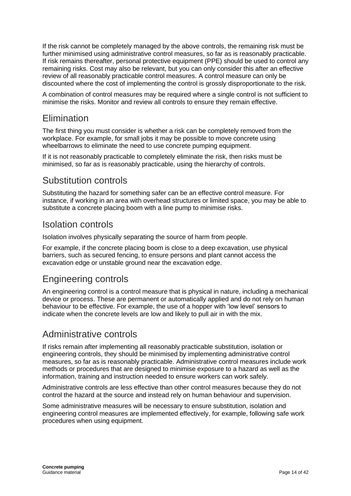If the risk cannot be completely managed by the above controls, the remaining risk must be further minimised using administrative control measures, so far as is reasonably practicable. If risk remains thereafter, personal protective equipment [\(PPE\)](https://www.safeworkaustralia.gov.au/glossary#ppe) should be used to control any remaining [risks.](https://www.safeworkaustralia.gov.au/glossary#risks) Cost may also be relevant, but you can only consider this after an effective review of all reasonably practicable control measures. A control measure can only be discounted where the cost of implementing the control is grossly disproportionate to the risk.

A combination of control measures may be required where a single control is not sufficient to minimise the risks. Monitor and review all controls to ensure they remain effective.

### Elimination

The first thing you must consider is whether a risk can be completely removed from the workplace. For example, for small jobs it may be possible to move concrete using wheelbarrows to eliminate the need to use concrete pumping equipment.

If it is not reasonably practicable to completely eliminate the risk, then risks must be minimised, so far as is reasonably practicable, using the hierarchy of controls.

### Substitution controls

Substituting the hazard for something safer can be an effective control measure. For instance, if working in an area with overhead structures or limited space, you may be able to substitute a concrete placing boom with a line pump to minimise risks.

### Isolation controls

Isolation involves physically separating the source of harm from people.

For example, if the concrete placing boom is close to a deep excavation, use physical barriers, such as secured fencing, to ensure persons and plant cannot access the excavation edge or unstable ground near the excavation edge.

### Engineering controls

An engineering control is a control measure that is physical in nature, including a mechanical device or process. These are permanent or automatically applied and do not rely on human behaviour to be effective. For example, the use of a hopper with 'low level' sensors to indicate when the concrete levels are low and likely to pull air in with the mix.

### Administrative controls

If risks remain after implementing all reasonably practicable substitution, isolation or engineering controls, they should be minimised by implementing administrative control measures, so far as is reasonably practicable. Administrative control measures include work methods or procedures that are designed to minimise exposure to a hazard as well as the information, training and instruction needed to ensure workers can work safely.

Administrative controls are less effective than other control measures because they do not control the hazard at the source and instead rely on human behaviour and supervision.

Some administrative measures will be necessary to ensure substitution, isolation and engineering control measures are implemented effectively, for example, following safe work procedures when using equipment.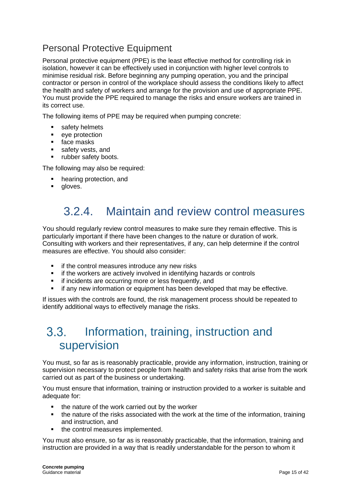### Personal Protective Equipment

Personal protective equipment (PPE) is the least effective method for controlling risk in isolation, however it can be effectively used in conjunction with higher level controls to minimise residual risk. Before beginning any pumping operation, you and the principal contractor or person in control of the workplace should assess the conditions likely to affect the health and safety of workers and arrange for the provision and use of appropriate PPE. You must provide the PPE required to manage the risks and ensure workers are trained in its correct use.

The following items of PPE may be required when pumping concrete:

- safety helmets
- eye protection
- face masks
- safety vests, and
- rubber safety boots.

The following may also be required:

- hearing protection, and
- <span id="page-14-0"></span>aloves.

## 3.2.4. Maintain and review control measures

You should regularly review control measures to make sure they remain effective. This is particularly important if there have been changes to the nature or duration of work. Consulting with workers and their representatives, if any, can help determine if the control measures are effective. You should also consider:

- if the control measures introduce any new risks
- **EXEDENT** if the workers are actively involved in identifying hazards or controls
- **EXECUTE:** if incidents are occurring more or less frequently, and
- **.** if any new information or equipment has been developed that may be effective.

<span id="page-14-1"></span>If issues with the controls are found, the risk management process should be repeated to identify additional ways to effectively manage the risks.

### $3.3.$ Information, training, instruction and supervision

You must, so far as is reasonably practicable, provide any information, instruction, training or supervision necessary to protect people from health and safety risks that arise from the work carried out as part of the business or undertaking.

You must ensure that information, training or instruction provided to a worker is suitable and adequate for:

- the nature of the work carried out by the worker
- the nature of the risks associated with the work at the time of the information, training and instruction, and
- the control measures implemented.

You must also ensure, so far as is reasonably practicable, that the information, training and instruction are provided in a way that is readily understandable for the person to whom it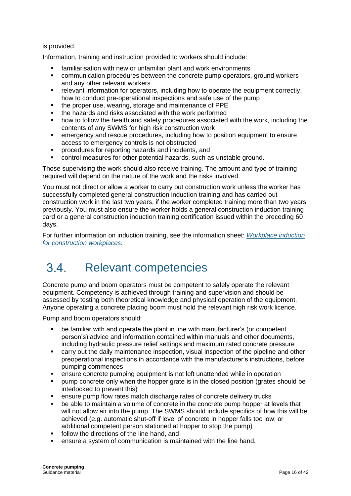### is provided.

Information, training and instruction provided to workers should include:

- familiarisation with new or unfamiliar plant and work environments
- communication procedures between the concrete pump operators, ground workers and any other relevant workers
- **•** relevant information for operators, including how to operate the equipment correctly, how to conduct pre-operational inspections and safe use of the pump
- the proper use, wearing, storage and maintenance of PPE
- the hazards and risks associated with the work performed
- how to follow the health and safety procedures associated with the work, including the contents of any SWMS for high risk construction work
- emergency and rescue procedures, including how to position equipment to ensure access to emergency controls is not obstructed
- procedures for reporting hazards and incidents, and
- control measures for other potential hazards, such as unstable ground.

Those supervising the work should also receive training. The amount and type of training required will depend on the nature of the work and the risks involved.

You must not direct or allow a worker to carry out construction work unless the worker has successfully completed general construction induction training and has carried out construction work in the last two years, if the worker completed training more than two years previously. You must also ensure the worker holds a general construction induction training card or a general construction induction training certification issued within the preceding 60 days.

For further information on induction training, see the information sheet: *[Workplace induction](https://www.safeworkaustralia.gov.au/system/files/documents/1703/information-sheet-work-induction-for-construction.pdf)  [for construction workplaces.](https://www.safeworkaustralia.gov.au/system/files/documents/1703/information-sheet-work-induction-for-construction.pdf)* 

#### <span id="page-15-0"></span> $34$ Relevant competencies

Concrete pump and boom operators must be competent to safely operate the relevant equipment. Competency is achieved through training and supervision and should be assessed by testing both theoretical knowledge and physical operation of the equipment. Anyone operating a concrete placing boom must hold the relevant high risk work licence.

Pump and boom operators should:

- be familiar with and operate the plant in line with manufacturer's (or competent person's) advice and information contained within manuals and other documents, including hydraulic pressure relief settings and maximum rated concrete pressure
- carry out the daily maintenance inspection, visual inspection of the pipeline and other preoperational inspections in accordance with the manufacturer's instructions, before pumping commences
- ensure concrete pumping equipment is not left unattended while in operation
- pump concrete only when the hopper grate is in the closed position (grates should be interlocked to prevent this)
- ensure pump flow rates match discharge rates of concrete delivery trucks
- be able to maintain a volume of concrete in the concrete pump hopper at levels that will not allow air into the pump. The SWMS should include specifics of how this will be achieved (e.g. automatic shut-off if level of concrete in hopper falls too low; or additional competent person stationed at hopper to stop the pump)
- follow the directions of the line hand, and
- ensure a system of communication is maintained with the line hand.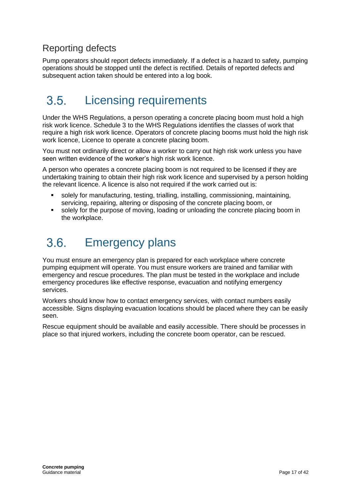### Reporting defects

Pump operators should report defects immediately. If a defect is a hazard to safety, pumping operations should be stopped until the defect is rectified. Details of reported defects and subsequent action taken should be entered into a log book.

### <span id="page-16-0"></span>Licensing requirements  $3.5$

Under the WHS Regulations, a person operating a concrete placing boom must hold a high risk work licence. Schedule 3 to the WHS Regulations identifies the classes of work that require a high risk work licence. Operators of concrete placing booms must hold the high risk work licence, Licence to operate a concrete placing boom.

You must not ordinarily direct or allow a worker to carry out high risk work unless you have seen written evidence of the worker's high risk work licence.

A person who operates a concrete placing boom is not required to be licensed if they are undertaking training to obtain their high risk work licence and supervised by a person holding the relevant licence. A licence is also not required if the work carried out is:

- solely for manufacturing, testing, trialling, installing, commissioning, maintaining, servicing, repairing, altering or disposing of the concrete placing boom, or
- solely for the purpose of moving, loading or unloading the concrete placing boom in the workplace.

### <span id="page-16-1"></span> $36$ Emergency plans

You must ensure an emergency plan is prepared for each workplace where concrete pumping equipment will operate. You must ensure workers are trained and familiar with emergency and rescue procedures. The plan must be tested in the workplace and include emergency procedures like effective response, evacuation and notifying emergency services.

Workers should know how to contact emergency services, with contact numbers easily accessible. Signs displaying evacuation locations should be placed where they can be easily seen.

Rescue equipment should be available and easily accessible. There should be processes in place so that injured workers, including the concrete boom operator, can be rescued.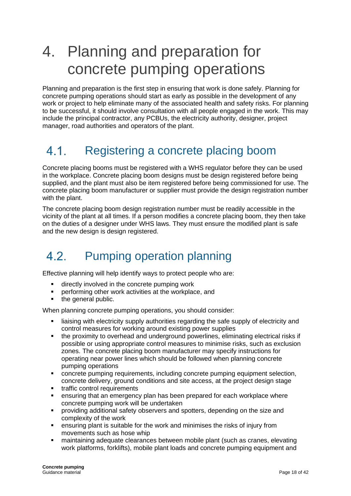## <span id="page-17-0"></span>4. Planning and preparation for concrete pumping operations

Planning and preparation is the first step in ensuring that work is done safely. Planning for concrete pumping operations should start as early as possible in the development of any work or project to help eliminate many of the associated health and safety risks. For planning to be successful, it should involve consultation with all people engaged in the work. This may include the principal contractor, any PCBUs, the electricity authority, designer, project manager, road authorities and operators of the plant.

### <span id="page-17-1"></span> $4.1.$ Registering a concrete placing boom

Concrete placing booms must be registered with a WHS regulator before they can be used in the workplace. Concrete placing boom designs must be design registered before being supplied, and the plant must also be item registered before being commissioned for use. The concrete placing boom manufacturer or supplier must provide the design registration number with the plant.

The concrete placing boom design registration number must be readily accessible in the vicinity of the plant at all times. If a person modifies a concrete placing boom, they then take on the duties of a designer under WHS laws. They must ensure the modified plant is safe and the new design is design registered.

### <span id="page-17-2"></span>42 Pumping operation planning

Effective planning will help identify ways to protect people who are:

- directly involved in the concrete pumping work
- performing other work activities at the workplace, and
- the general public.

When planning concrete pumping operations, you should consider:

- liaising with electricity supply authorities regarding the safe supply of electricity and control measures for working around existing power supplies
- the proximity to overhead and underground powerlines, eliminating electrical risks if possible or using appropriate control measures to minimise risks, such as exclusion zones. The concrete placing boom manufacturer may specify instructions for operating near power lines which should be followed when planning concrete pumping operations
- concrete pumping requirements, including concrete pumping equipment selection, concrete delivery, ground conditions and site access, at the project design stage
- traffic control requirements
- ensuring that an emergency plan has been prepared for each workplace where concrete pumping work will be undertaken
- providing additional safety observers and spotters, depending on the size and complexity of the work
- **•** ensuring plant is suitable for the work and minimises the risks of injury from movements such as hose whip
- maintaining adequate clearances between mobile plant (such as cranes, elevating work platforms, forklifts), mobile plant loads and concrete pumping equipment and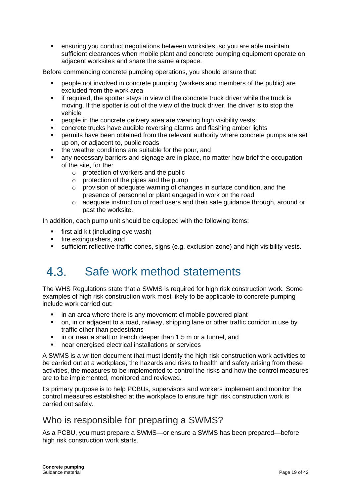ensuring you conduct negotiations between worksites, so you are able maintain sufficient clearances when mobile plant and concrete pumping equipment operate on adjacent worksites and share the same airspace.

Before commencing concrete pumping operations, you should ensure that:

- people not involved in concrete pumping (workers and members of the public) are excluded from the work area
- **•** if required, the spotter stays in view of the concrete truck driver while the truck is moving. If the spotter is out of the view of the truck driver, the driver is to stop the vehicle
- people in the concrete delivery area are wearing high visibility vests
- concrete trucks have audible reversing alarms and flashing amber lights
- permits have been obtained from the relevant authority where concrete pumps are set up on, or adjacent to, public roads
- the weather conditions are suitable for the pour, and
- any necessary barriers and signage are in place, no matter how brief the occupation of the site, for the:
	- o protection of workers and the public
	- $\circ$  protection of the pipes and the pump
	- o provision of adequate warning of changes in surface condition, and the presence of personnel or plant engaged in work on the road
	- o adequate instruction of road users and their safe guidance through, around or past the worksite.

In addition, each pump unit should be equipped with the following items:

- first aid kit (including eye wash)
- fire extinguishers, and
- sufficient reflective traffic cones, signs (e.g. exclusion zone) and high visibility vests.

#### <span id="page-18-0"></span> $4.3.$ Safe work method statements

The WHS Regulations state that a SWMS is required for high risk construction work. Some examples of high risk construction work most likely to be applicable to concrete pumping include work carried out:

- in an area where there is any movement of mobile powered plant
- on, in or adjacent to a road, railway, shipping lane or other traffic corridor in use by traffic other than pedestrians
- in or near a shaft or trench deeper than 1.5 m or a tunnel, and
- near energised electrical installations or services

A SWMS is a written document that must identify the high risk construction work activities to be carried out at a workplace, the hazards and risks to health and safety arising from these activities, the measures to be implemented to control the risks and how the control measures are to be implemented, monitored and reviewed.

Its primary purpose is to help PCBUs, supervisors and workers implement and monitor the control measures established at the workplace to ensure high risk construction work is carried out safely.

### Who is responsible for preparing a SWMS?

As a PCBU, you must prepare a SWMS—or ensure a SWMS has been prepared—before high risk construction work starts.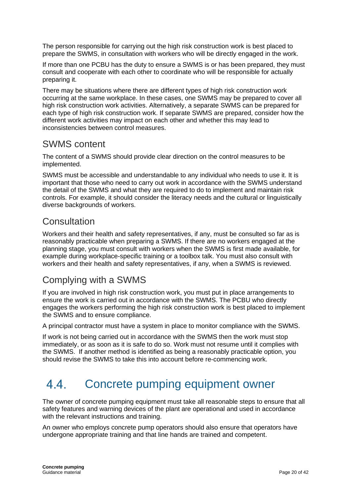The person responsible for carrying out the high risk construction work is best placed to prepare the SWMS, in consultation with workers who will be directly engaged in the work.

If more than one PCBU has the duty to ensure a SWMS is or has been prepared, they must consult and cooperate with each other to coordinate who will be responsible for actually preparing it.

There may be situations where there are different types of high risk construction work occurring at the same workplace. In these cases, one SWMS may be prepared to cover all high risk construction work activities. Alternatively, a separate SWMS can be prepared for each type of high risk construction work. If separate SWMS are prepared, consider how the different work activities may impact on each other and whether this may lead to inconsistencies between control measures.

### SWMS content

The content of a SWMS should provide clear direction on the control measures to be implemented.

SWMS must be accessible and understandable to any individual who needs to use it. It is important that those who need to carry out work in accordance with the SWMS understand the detail of the SWMS and what they are required to do to implement and maintain risk controls. For example, it should consider the literacy needs and the cultural or linguistically diverse backgrounds of workers.

### **Consultation**

Workers and their health and safety representatives, if any, must be consulted so far as is reasonably practicable when preparing a SWMS. If there are no workers engaged at the planning stage, you must consult with workers when the SWMS is first made available, for example during workplace-specific training or a toolbox talk. You must also consult with workers and their health and safety representatives, if any, when a SWMS is reviewed.

### Complying with a SWMS

If you are involved in high risk construction work, you must put in place arrangements to ensure the work is carried out in accordance with the SWMS. The PCBU who directly engages the workers performing the high risk construction work is best placed to implement the SWMS and to ensure compliance.

A principal contractor must have a system in place to monitor compliance with the SWMS.

If work is not being carried out in accordance with the SWMS then the work must stop immediately, or as soon as it is safe to do so. Work must not resume until it complies with the SWMS. If another method is identified as being a reasonably practicable option, you should revise the SWMS to take this into account before re-commencing work.

#### <span id="page-19-0"></span>44 Concrete pumping equipment owner

The owner of concrete pumping equipment must take all reasonable steps to ensure that all safety features and warning devices of the plant are operational and used in accordance with the relevant instructions and training.

An owner who employs concrete pump operators should also ensure that operators have undergone appropriate training and that line hands are trained and competent.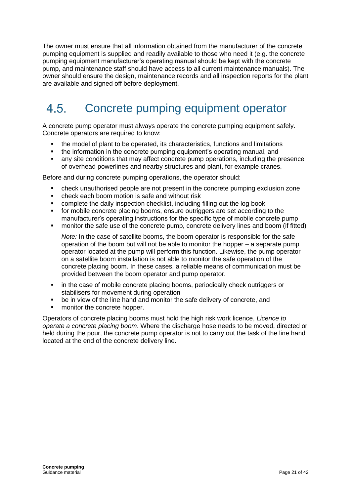The owner must ensure that all information obtained from the manufacturer of the concrete pumping equipment is supplied and readily available to those who need it (e.g. the concrete pumping equipment manufacturer's operating manual should be kept with the concrete pump, and maintenance staff should have access to all current maintenance manuals). The owner should ensure the design, maintenance records and all inspection reports for the plant are available and signed off before deployment.

### <span id="page-20-0"></span>Concrete pumping equipment operator 4.5

A concrete pump operator must always operate the concrete pumping equipment safely. Concrete operators are required to know:

- the model of plant to be operated, its characteristics, functions and limitations
- the information in the concrete pumping equipment's operating manual, and
- any site conditions that may affect concrete pump operations, including the presence of overhead powerlines and nearby structures and plant, for example cranes.

Before and during concrete pumping operations, the operator should:

- check unauthorised people are not present in the concrete pumping exclusion zone
- check each boom motion is safe and without risk
- complete the daily inspection checklist, including filling out the log book
- for mobile concrete placing booms, ensure outriggers are set according to the manufacturer's operating instructions for the specific type of mobile concrete pump
- monitor the safe use of the concrete pump, concrete delivery lines and boom (if fitted)

*Note:* In the case of satellite booms, the boom operator is responsible for the safe operation of the boom but will not be able to monitor the hopper – a separate pump operator located at the pump will perform this function. Likewise, the pump operator on a satellite boom installation is not able to monitor the safe operation of the concrete placing boom. In these cases, a reliable means of communication must be provided between the boom operator and pump operator.

- in the case of mobile concrete placing booms, periodically check outriggers or stabilisers for movement during operation
- be in view of the line hand and monitor the safe delivery of concrete, and
- monitor the concrete hopper.

Operators of concrete placing booms must hold the high risk work licence, *Licence to operate a concrete placing boom*. Where the discharge hose needs to be moved, directed or held during the pour, the concrete pump operator is not to carry out the task of the line hand located at the end of the concrete delivery line.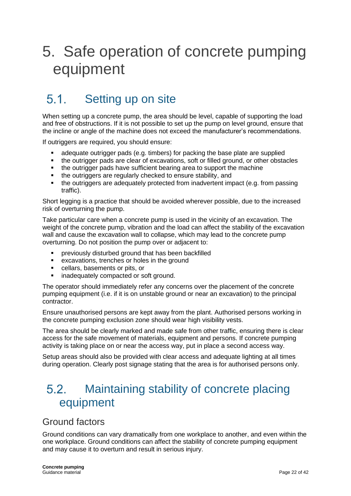## <span id="page-21-0"></span>5. Safe operation of concrete pumping equipment

### <span id="page-21-1"></span> $51$ Setting up on site

When setting up a concrete pump, the area should be level, capable of supporting the load and free of obstructions. If it is not possible to set up the pump on level ground, ensure that the incline or angle of the machine does not exceed the manufacturer's recommendations.

If outriggers are required, you should ensure:

- adequate outrigger pads (e.g. timbers) for packing the base plate are supplied
- the outrigger pads are clear of excavations, soft or filled ground, or other obstacles
- the outrigger pads have sufficient bearing area to support the machine
- the outriggers are regularly checked to ensure stability, and
- the outriggers are adequately protected from inadvertent impact (e.g. from passing traffic).

Short legging is a practice that should be avoided wherever possible, due to the increased risk of overturning the pump.

Take particular care when a concrete pump is used in the vicinity of an excavation. The weight of the concrete pump, vibration and the load can affect the stability of the excavation wall and cause the excavation wall to collapse, which may lead to the concrete pump overturning. Do not position the pump over or adjacent to:

- previously disturbed ground that has been backfilled
- excavations, trenches or holes in the ground
- cellars, basements or pits, or
- inadequately compacted or soft ground.

The operator should immediately refer any concerns over the placement of the concrete pumping equipment (i.e. if it is on unstable ground or near an excavation) to the principal contractor.

Ensure unauthorised persons are kept away from the plant. Authorised persons working in the concrete pumping exclusion zone should wear high visibility vests.

The area should be clearly marked and made safe from other traffic, ensuring there is clear access for the safe movement of materials, equipment and persons. If concrete pumping activity is taking place on or near the access way, put in place a second access way.

Setup areas should also be provided with clear access and adequate lighting at all times during operation. Clearly post signage stating that the area is for authorised persons only.

### <span id="page-21-2"></span> $5.2.$ Maintaining stability of concrete placing equipment

### Ground factors

Ground conditions can vary dramatically from one workplace to another, and even within the one workplace. Ground conditions can affect the stability of concrete pumping equipment and may cause it to overturn and result in serious injury.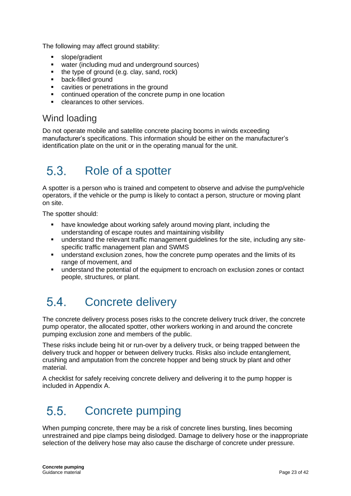The following may affect ground stability:

- slope/gradient
- water (including mud and underground sources)
- the type of ground (e.g. clay, sand, rock)
- back-filled ground
- cavities or penetrations in the ground
- continued operation of the concrete pump in one location
- clearances to other services.

### Wind loading

Do not operate mobile and satellite concrete placing booms in winds exceeding manufacturer's specifications. This information should be either on the manufacturer's identification plate on the unit or in the operating manual for the unit.

### <span id="page-22-0"></span> $5.3.$ Role of a spotter

A spotter is a person who is trained and competent to observe and advise the pump/vehicle operators, if the vehicle or the pump is likely to contact a person, structure or moving plant on site.

The spotter should:

- have knowledge about working safely around moving plant, including the understanding of escape routes and maintaining visibility
- **•** understand the relevant traffic management quidelines for the site, including any sitespecific traffic management plan and SWMS
- understand exclusion zones, how the concrete pump operates and the limits of its range of movement, and
- understand the potential of the equipment to encroach on exclusion zones or contact people, structures, or plant.

### <span id="page-22-1"></span>54 Concrete delivery

The concrete delivery process poses risks to the concrete delivery truck driver, the concrete pump operator, the allocated spotter, other workers working in and around the concrete pumping exclusion zone and members of the public.

These risks include being hit or run-over by a delivery truck, or being trapped between the delivery truck and hopper or between delivery trucks. Risks also include entanglement, crushing and amputation from the concrete hopper and being struck by plant and other material.

A checklist for safely receiving concrete delivery and delivering it to the pump hopper is included in Appendix A.

### <span id="page-22-2"></span>55 Concrete pumping

When pumping concrete, there may be a risk of concrete lines bursting, lines becoming unrestrained and pipe clamps being dislodged. Damage to delivery hose or the inappropriate selection of the delivery hose may also cause the discharge of concrete under pressure.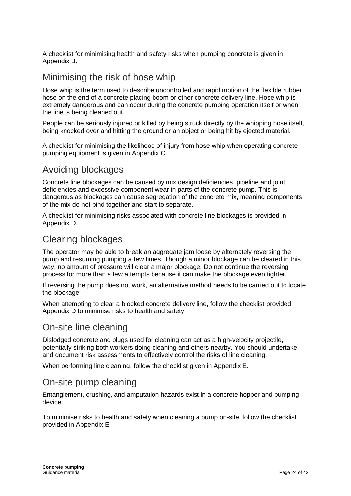A checklist for minimising health and safety risks when pumping concrete is given in Appendix B.

### Minimising the risk of hose whip

Hose whip is the term used to describe uncontrolled and rapid motion of the flexible rubber hose on the end of a concrete placing boom or other concrete delivery line. Hose whip is extremely dangerous and can occur during the concrete pumping operation itself or when the line is being cleaned out.

People can be seriously injured or killed by being struck directly by the whipping hose itself, being knocked over and hitting the ground or an object or being hit by ejected material.

A checklist for minimising the likelihood of injury from hose whip when operating concrete pumping equipment is given in Appendix C.

### Avoiding blockages

Concrete line blockages can be caused by mix design deficiencies, pipeline and joint deficiencies and excessive component wear in parts of the concrete pump. This is dangerous as blockages can cause segregation of the concrete mix, meaning components of the mix do not bind together and start to separate.

A checklist for minimising risks associated with concrete line blockages is provided in Appendix D.

### Clearing blockages

The operator may be able to break an aggregate jam loose by alternately reversing the pump and resuming pumping a few times. Though a minor blockage can be cleared in this way, no amount of pressure will clear a major blockage. Do not continue the reversing process for more than a few attempts because it can make the blockage even tighter.

If reversing the pump does not work, an alternative method needs to be carried out to locate the blockage.

When attempting to clear a blocked concrete delivery line, follow the checklist provided Appendix D to minimise risks to health and safety.

### On-site line cleaning

Dislodged concrete and plugs used for cleaning can act as a high-velocity projectile, potentially striking both workers doing cleaning and others nearby. You should undertake and document risk assessments to effectively control the risks of line cleaning.

When performing line cleaning, follow the checklist given in Appendix E.

### On-site pump cleaning

Entanglement, crushing, and amputation hazards exist in a concrete hopper and pumping device.

To minimise risks to health and safety when cleaning a pump on-site, follow the checklist provided in Appendix E.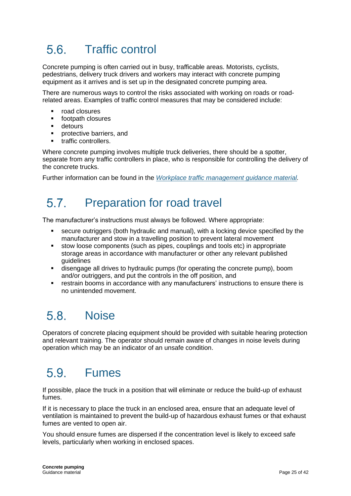## <span id="page-24-0"></span>5.6 Traffic control

Concrete pumping is often carried out in busy, trafficable areas. Motorists, cyclists, pedestrians, delivery truck drivers and workers may interact with concrete pumping equipment as it arrives and is set up in the designated concrete pumping area.

There are numerous ways to control the risks associated with working on roads or roadrelated areas. Examples of traffic control measures that may be considered include:

- road closures
- footpath closures
- detours
- protective barriers, and
- traffic controllers

Where concrete pumping involves multiple truck deliveries, there should be a spotter. separate from any traffic controllers in place, who is responsible for controlling the delivery of the concrete trucks.

<span id="page-24-1"></span>Further information can be found in the *[Workplace traffic management guidance material.](https://www.safeworkaustralia.gov.au/collection/workplace-traffic-management-guidance-material)*

#### 57 Preparation for road travel

The manufacturer's instructions must always be followed. Where appropriate:

- secure outriggers (both hydraulic and manual), with a locking device specified by the manufacturer and stow in a travelling position to prevent lateral movement
- stow loose components (such as pipes, couplings and tools etc) in appropriate storage areas in accordance with manufacturer or other any relevant published guidelines
- disengage all drives to hydraulic pumps (for operating the concrete pump), boom and/or outriggers, and put the controls in the off position, and
- restrain booms in accordance with any manufacturers' instructions to ensure there is no unintended movement.

### <span id="page-24-2"></span>58 **Noise**

Operators of concrete placing equipment should be provided with suitable hearing protection and relevant training. The operator should remain aware of changes in noise levels during operation which may be an indicator of an unsafe condition.

## <span id="page-24-3"></span>Fumes

If possible, place the truck in a position that will eliminate or reduce the build-up of exhaust fumes.

If it is necessary to place the truck in an enclosed area, ensure that an adequate level of ventilation is maintained to prevent the build-up of hazardous exhaust fumes or that exhaust fumes are vented to open air.

You should ensure fumes are dispersed if the concentration level is likely to exceed safe levels, particularly when working in enclosed spaces.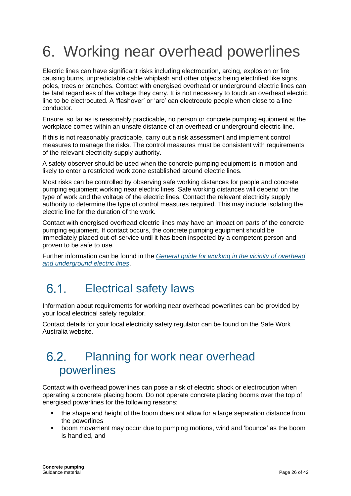# <span id="page-25-0"></span>6. Working near overhead powerlines

Electric lines can have significant risks including electrocution, arcing, explosion or fire causing burns, unpredictable cable whiplash and other objects being electrified like signs, poles, trees or branches. Contact with energised overhead or underground electric lines can be fatal regardless of the voltage they carry. It is not necessary to touch an overhead electric line to be electrocuted. A 'flashover' or 'arc' can electrocute people when close to a line conductor.

Ensure, so far as is reasonably practicable, no person or concrete pumping equipment at the workplace comes within an unsafe distance of an overhead or underground electric line.

If this is not reasonably practicable, carry out a risk assessment and implement control measures to manage the risks. The control measures must be consistent with requirements of the relevant electricity supply authority.

A safety observer should be used when the concrete pumping equipment is in motion and likely to enter a restricted work zone established around electric lines.

Most risks can be controlled by observing safe working distances for people and concrete pumping equipment working near electric lines. Safe working distances will depend on the type of work and the voltage of the electric lines. Contact the relevant electricity supply authority to determine the type of control measures required. This may include isolating the electric line for the duration of the work.

Contact with energised overhead electric lines may have an impact on parts of the concrete pumping equipment. If contact occurs, the concrete pumping equipment should be immediately placed out-of-service until it has been inspected by a competent person and proven to be safe to use.

Further information can be found in the *[General guide for working in the vicinity of overhead](https://www.safeworkaustralia.gov.au/doc/overhead-underground-electric-lines-general-guide)  [and underground electric lines](https://www.safeworkaustralia.gov.au/doc/overhead-underground-electric-lines-general-guide)*.

### <span id="page-25-1"></span>Electrical safety laws 61

Information about requirements for working near overhead powerlines can be provided by your local electrical safety regulator.

Contact details for your local electricity safety regulator can be found on the Safe Work Australia website.

### <span id="page-25-2"></span>62 Planning for work near overhead powerlines

Contact with overhead powerlines can pose a risk of electric shock or electrocution when operating a concrete placing boom. Do not operate concrete placing booms over the top of energised powerlines for the following reasons:

- the shape and height of the boom does not allow for a large separation distance from the powerlines
- boom movement may occur due to pumping motions, wind and 'bounce' as the boom is handled, and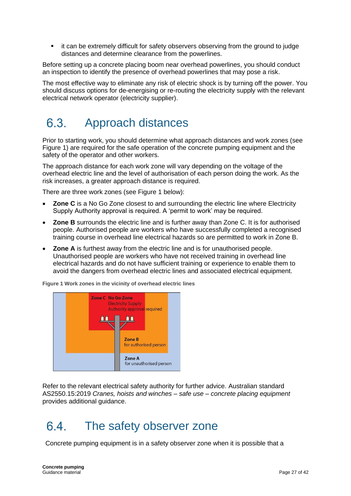it can be extremely difficult for safety observers observing from the ground to judge distances and determine clearance from the powerlines.

Before setting up a concrete placing boom near overhead powerlines, you should conduct an inspection to identify the presence of overhead powerlines that may pose a risk.

The most effective way to eliminate any risk of electric shock is by turning off the power. You should discuss options for de-energising or re-routing the electricity supply with the relevant electrical network operator (electricity supplier).

### <span id="page-26-0"></span>Approach distances  $6.3$

Prior to starting work, you should determine what approach distances and work zones (see Figure 1) are required for the safe operation of the concrete pumping equipment and the safety of the operator and other workers.

The approach distance for each work zone will vary depending on the voltage of the overhead electric line and the level of authorisation of each person doing the work. As the risk increases, a greater approach distance is required.

There are three work zones (see Figure 1 below):

- **Zone C** is a No Go Zone closest to and surrounding the electric line where Electricity Supply Authority approval is required. A 'permit to work' may be required.
- **Zone B** surrounds the electric line and is further away than Zone C. It is for authorised people. Authorised people are workers who have successfully completed a recognised training course in overhead line electrical hazards so are permitted to work in Zone B.
- **Zone A** is furthest away from the electric line and is for unauthorised people. Unauthorised people are workers who have not received training in overhead line electrical hazards and do not have sufficient training or experience to enable them to avoid the dangers from overhead electric lines and associated electrical equipment.





Refer to the relevant electrical safety authority for further advice. Australian standard AS2550.15:2019 *Cranes, hoists and winches – safe use – concrete placing equipment* provides additional guidance.

#### <span id="page-26-1"></span>64 The safety observer zone

Concrete pumping equipment is in a safety observer zone when it is possible that a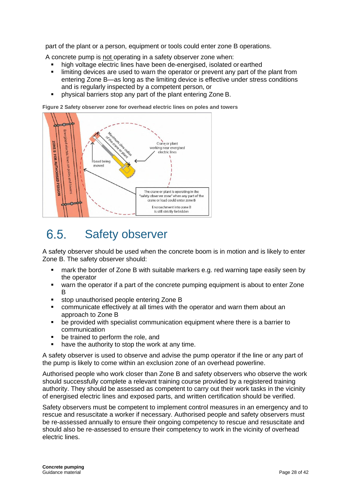part of the plant or a person, equipment or tools could enter zone B operations.

A concrete pump is not operating in a safety observer zone when:

- high voltage electric lines have been de-energised, isolated or earthed
- limiting devices are used to warn the operator or prevent any part of the plant from entering Zone B—as long as the limiting device is effective under stress conditions and is regularly inspected by a competent person, or
- physical barriers stop any part of the plant entering Zone B.

**Figure 2 Safety observer zone for overhead electric lines on poles and towers**



#### <span id="page-27-0"></span>6.5. Safety observer

A safety observer should be used when the concrete boom is in motion and is likely to enter Zone B. The safety observer should:

- mark the border of Zone B with suitable markers e.g. red warning tape easily seen by the operator
- warn the operator if a part of the concrete pumping equipment is about to enter Zone B
- stop unauthorised people entering Zone B
- communicate effectively at all times with the operator and warn them about an approach to Zone B
- be provided with specialist communication equipment where there is a barrier to communication
- be trained to perform the role, and
- have the authority to stop the work at any time.

A safety observer is used to observe and advise the pump operator if the line or any part of the pump is likely to come within an exclusion zone of an overhead powerline.

Authorised people who work closer than Zone B and safety observers who observe the work should successfully complete a relevant training course provided by a registered training authority. They should be assessed as competent to carry out their work tasks in the vicinity of energised electric lines and exposed parts, and written certification should be verified.

Safety observers must be competent to implement control measures in an emergency and to rescue and resuscitate a worker if necessary. Authorised people and safety observers must be re-assessed annually to ensure their ongoing competency to rescue and resuscitate and should also be re-assessed to ensure their competency to work in the vicinity of overhead electric lines.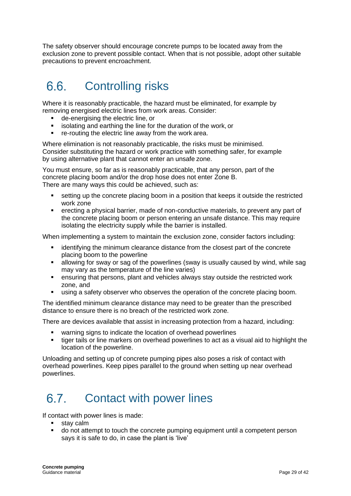The safety observer should encourage concrete pumps to be located away from the exclusion zone to prevent possible contact. When that is not possible, adopt other suitable precautions to prevent encroachment.

### <span id="page-28-0"></span>6.6. Controlling risks

Where it is reasonably practicable, the hazard must be eliminated, for example by removing energised electric lines from work areas. Consider:

- de-energising the electric line, or
- isolating and earthing the line for the duration of the work, or
- re-routing the electric line away from the work area.

Where elimination is not reasonably practicable, the risks must be minimised. Consider substituting the hazard or work practice with something safer, for example by using alternative plant that cannot enter an unsafe zone.

You must ensure, so far as is reasonably practicable, that any person, part of the concrete placing boom and/or the drop hose does not enter Zone B. There are many ways this could be achieved, such as:

- setting up the concrete placing boom in a position that keeps it outside the restricted work zone
- erecting a physical barrier, made of non-conductive materials, to prevent any part of the concrete placing boom or person entering an unsafe distance. This may require isolating the electricity supply while the barrier is installed.

When implementing a system to maintain the exclusion zone, consider factors including:

- identifying the minimum clearance distance from the closest part of the concrete placing boom to the powerline
- allowing for sway or sag of the powerlines (sway is usually caused by wind, while sag may vary as the temperature of the line varies)
- ensuring that persons, plant and vehicles always stay outside the restricted work zone, and
- using a safety observer who observes the operation of the concrete placing boom.

The identified minimum clearance distance may need to be greater than the prescribed distance to ensure there is no breach of the restricted work zone.

There are devices available that assist in increasing protection from a hazard, including:

- warning signs to indicate the location of overhead powerlines
- tiger tails or line markers on overhead powerlines to act as a visual aid to highlight the location of the powerline.

Unloading and setting up of concrete pumping pipes also poses a risk of contact with overhead powerlines. Keep pipes parallel to the ground when setting up near overhead powerlines.

#### <span id="page-28-1"></span>67 Contact with power lines

If contact with power lines is made:

- stav calm
- do not attempt to touch the concrete pumping equipment until a competent person says it is safe to do, in case the plant is 'live'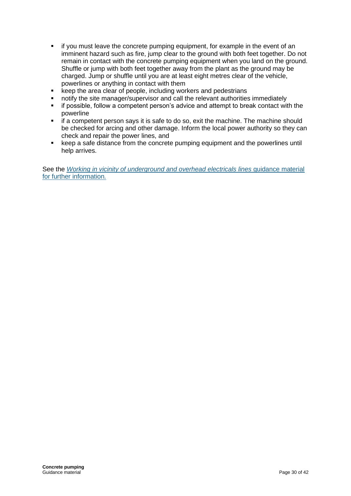- if you must leave the concrete pumping equipment, for example in the event of an imminent hazard such as fire, jump clear to the ground with both feet together. Do not remain in contact with the concrete pumping equipment when you land on the ground. Shuffle or jump with both feet together away from the plant as the ground may be charged. Jump or shuffle until you are at least eight metres clear of the vehicle, powerlines or anything in contact with them
- keep the area clear of people, including workers and pedestrians
- notify the site manager/supervisor and call the relevant authorities immediately
- if possible, follow a competent person's advice and attempt to break contact with the powerline
- if a competent person says it is safe to do so, exit the machine. The machine should be checked for arcing and other damage. Inform the local power authority so they can check and repair the power lines, and
- keep a safe distance from the concrete pumping equipment and the powerlines until help arrives.

See the *[Working in vicinity of underground and overhead electricals lines](https://www.safeworkaustralia.gov.au/collection/working-vicinity-overhead-and-underground-electric-lines-guidance-material) guidance material* [for further information](https://www.safeworkaustralia.gov.au/collection/working-vicinity-overhead-and-underground-electric-lines-guidance-material)*.*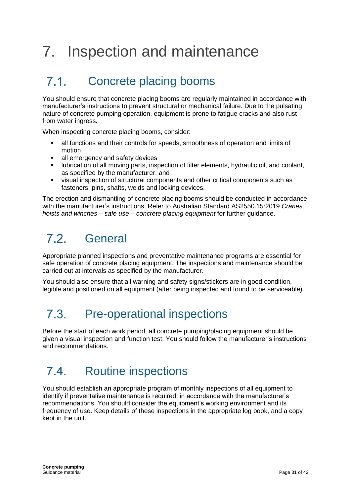# <span id="page-30-0"></span>7. Inspection and maintenance

### <span id="page-30-1"></span>71 Concrete placing booms

You should ensure that concrete placing booms are regularly maintained in accordance with manufacturer's instructions to prevent structural or mechanical failure. Due to the pulsating nature of concrete pumping operation, equipment is prone to fatigue cracks and also rust from water ingress.

When inspecting concrete placing booms, consider:

- all functions and their controls for speeds, smoothness of operation and limits of motion
- all emergency and safety devices
- lubrication of all moving parts, inspection of filter elements, hydraulic oil, and coolant, as specified by the manufacturer, and
- visual inspection of structural components and other critical components such as fasteners, pins, shafts, welds and locking devices.

The erection and dismantling of concrete placing booms should be conducted in accordance with the manufacturer's instructions. Refer to Australian Standard AS2550.15:2019 *Cranes, hoists and winches – safe use – concrete placing equipment* for further guidance.

#### <span id="page-30-2"></span> $7.2$ General

Appropriate planned inspections and preventative maintenance programs are essential for safe operation of concrete placing equipment. The inspections and maintenance should be carried out at intervals as specified by the manufacturer.

You should also ensure that all warning and safety signs/stickers are in good condition, legible and positioned on all equipment (after being inspected and found to be serviceable).

### <span id="page-30-3"></span>73 Pre-operational inspections

Before the start of each work period, all concrete pumping/placing equipment should be given a visual inspection and function test. You should follow the manufacturer's instructions and recommendations.

### <span id="page-30-4"></span> $7.4$ Routine inspections

You should establish an appropriate program of monthly inspections of all equipment to identify if preventative maintenance is required, in accordance with the manufacturer's recommendations. You should consider the equipment's working environment and its frequency of use. Keep details of these inspections in the appropriate log book, and a copy kept in the unit.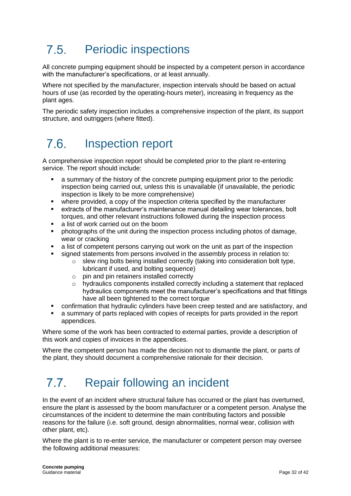### <span id="page-31-0"></span>75 Periodic inspections

All concrete pumping equipment should be inspected by a competent person in accordance with the manufacturer's specifications, or at least annually.

Where not specified by the manufacturer, inspection intervals should be based on actual hours of use (as recorded by the operating-hours meter), increasing in frequency as the plant ages.

The periodic safety inspection includes a comprehensive inspection of the plant, its support structure, and outriggers (where fitted).

### <span id="page-31-1"></span> $7.6.$ Inspection report

A comprehensive inspection report should be completed prior to the plant re-entering service. The report should include:

- a summary of the history of the concrete pumping equipment prior to the periodic inspection being carried out, unless this is unavailable (if unavailable, the periodic inspection is likely to be more comprehensive)
- where provided, a copy of the inspection criteria specified by the manufacturer
- extracts of the manufacturer's maintenance manual detailing wear tolerances, bolt torques, and other relevant instructions followed during the inspection process
- a list of work carried out on the boom
- photographs of the unit during the inspection process including photos of damage, wear or cracking
- a list of competent persons carrying out work on the unit as part of the inspection
- signed statements from persons involved in the assembly process in relation to:
	- $\circ$  slew ring bolts being installed correctly (taking into consideration bolt type, lubricant if used, and bolting sequence)
	- $\circ$  pin and pin retainers installed correctly
	- $\circ$  hydraulics components installed correctly including a statement that replaced hydraulics components meet the manufacturer's specifications and that fittings have all been tightened to the correct torque
- confirmation that hydraulic cylinders have been creep tested and are satisfactory, and
- a summary of parts replaced with copies of receipts for parts provided in the report appendices.

Where some of the work has been contracted to external parties, provide a description of this work and copies of invoices in the appendices.

Where the competent person has made the decision not to dismantle the plant, or parts of the plant, they should document a comprehensive rationale for their decision.

#### <span id="page-31-2"></span>77 Repair following an incident

In the event of an incident where structural failure has occurred or the plant has overturned, ensure the plant is assessed by the boom manufacturer or a competent person. Analyse the circumstances of the incident to determine the main contributing factors and possible reasons for the failure (i.e. soft ground, design abnormalities, normal wear, collision with other plant, etc).

Where the plant is to re-enter service, the manufacturer or competent person may oversee the following additional measures: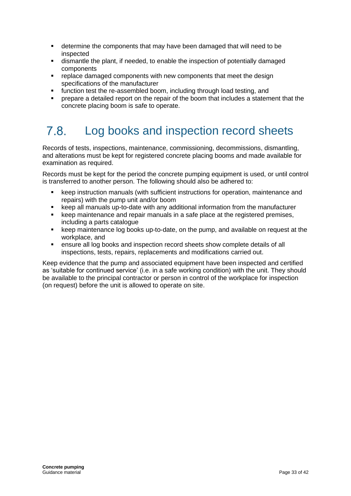- determine the components that may have been damaged that will need to be inspected
- dismantle the plant, if needed, to enable the inspection of potentially damaged components
- replace damaged components with new components that meet the design specifications of the manufacturer
- function test the re-assembled boom, including through load testing, and
- prepare a detailed report on the repair of the boom that includes a statement that the concrete placing boom is safe to operate.

### <span id="page-32-0"></span>78 Log books and inspection record sheets

Records of tests, inspections, maintenance, commissioning, decommissions, dismantling, and alterations must be kept for registered concrete placing booms and made available for examination as required.

Records must be kept for the period the concrete pumping equipment is used, or until control is transferred to another person. The following should also be adhered to:

- keep instruction manuals (with sufficient instructions for operation, maintenance and repairs) with the pump unit and/or boom
- keep all manuals up-to-date with any additional information from the manufacturer
- keep maintenance and repair manuals in a safe place at the registered premises, including a parts catalogue
- keep maintenance log books up-to-date, on the pump, and available on request at the workplace, and
- ensure all log books and inspection record sheets show complete details of all inspections, tests, repairs, replacements and modifications carried out.

Keep evidence that the pump and associated equipment have been inspected and certified as 'suitable for continued service' (i.e. in a safe working condition) with the unit. They should be available to the principal contractor or person in control of the workplace for inspection (on request) before the unit is allowed to operate on site.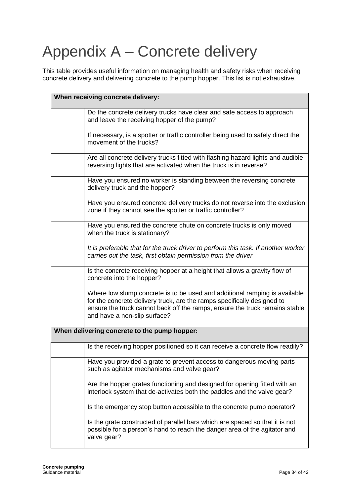# <span id="page-33-0"></span>Appendix A – Concrete delivery

This table provides useful information on managing health and safety risks when receiving concrete delivery and delivering concrete to the pump hopper. This list is not exhaustive.

| When receiving concrete delivery: |                                                                                                                                                                                                                                                                      |
|-----------------------------------|----------------------------------------------------------------------------------------------------------------------------------------------------------------------------------------------------------------------------------------------------------------------|
|                                   | Do the concrete delivery trucks have clear and safe access to approach<br>and leave the receiving hopper of the pump?                                                                                                                                                |
|                                   | If necessary, is a spotter or traffic controller being used to safely direct the<br>movement of the trucks?                                                                                                                                                          |
|                                   | Are all concrete delivery trucks fitted with flashing hazard lights and audible<br>reversing lights that are activated when the truck is in reverse?                                                                                                                 |
|                                   | Have you ensured no worker is standing between the reversing concrete<br>delivery truck and the hopper?                                                                                                                                                              |
|                                   | Have you ensured concrete delivery trucks do not reverse into the exclusion<br>zone if they cannot see the spotter or traffic controller?                                                                                                                            |
|                                   | Have you ensured the concrete chute on concrete trucks is only moved<br>when the truck is stationary?                                                                                                                                                                |
|                                   | It is preferable that for the truck driver to perform this task. If another worker<br>carries out the task, first obtain permission from the driver                                                                                                                  |
|                                   | Is the concrete receiving hopper at a height that allows a gravity flow of<br>concrete into the hopper?                                                                                                                                                              |
|                                   | Where low slump concrete is to be used and additional ramping is available<br>for the concrete delivery truck, are the ramps specifically designed to<br>ensure the truck cannot back off the ramps, ensure the truck remains stable<br>and have a non-slip surface? |
|                                   | When delivering concrete to the pump hopper:                                                                                                                                                                                                                         |
|                                   | Is the receiving hopper positioned so it can receive a concrete flow readily?                                                                                                                                                                                        |
|                                   | Have you provided a grate to prevent access to dangerous moving parts<br>such as agitator mechanisms and valve gear?                                                                                                                                                 |
|                                   | Are the hopper grates functioning and designed for opening fitted with an<br>interlock system that de-activates both the paddles and the valve gear?                                                                                                                 |
|                                   | Is the emergency stop button accessible to the concrete pump operator?                                                                                                                                                                                               |
|                                   | Is the grate constructed of parallel bars which are spaced so that it is not<br>possible for a person's hand to reach the danger area of the agitator and<br>valve gear?                                                                                             |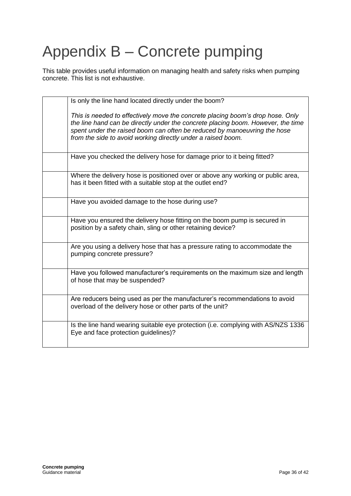# <span id="page-35-0"></span>Appendix B – Concrete pumping

This table provides useful information on managing health and safety risks when pumping concrete. This list is not exhaustive.

| Is only the line hand located directly under the boom?                                                                                                                                                                                                                                                         |
|----------------------------------------------------------------------------------------------------------------------------------------------------------------------------------------------------------------------------------------------------------------------------------------------------------------|
| This is needed to effectively move the concrete placing boom's drop hose. Only<br>the line hand can be directly under the concrete placing boom. However, the time<br>spent under the raised boom can often be reduced by manoeuvring the hose<br>from the side to avoid working directly under a raised boom. |
| Have you checked the delivery hose for damage prior to it being fitted?                                                                                                                                                                                                                                        |
| Where the delivery hose is positioned over or above any working or public area,<br>has it been fitted with a suitable stop at the outlet end?                                                                                                                                                                  |
| Have you avoided damage to the hose during use?                                                                                                                                                                                                                                                                |
| Have you ensured the delivery hose fitting on the boom pump is secured in<br>position by a safety chain, sling or other retaining device?                                                                                                                                                                      |
| Are you using a delivery hose that has a pressure rating to accommodate the<br>pumping concrete pressure?                                                                                                                                                                                                      |
| Have you followed manufacturer's requirements on the maximum size and length<br>of hose that may be suspended?                                                                                                                                                                                                 |
| Are reducers being used as per the manufacturer's recommendations to avoid<br>overload of the delivery hose or other parts of the unit?                                                                                                                                                                        |
| Is the line hand wearing suitable eye protection (i.e. complying with AS/NZS 1336<br>Eye and face protection guidelines)?                                                                                                                                                                                      |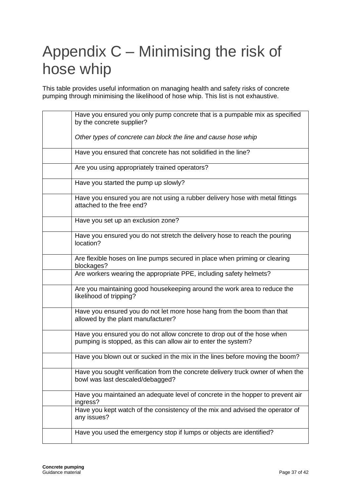## <span id="page-36-0"></span>Appendix C – Minimising the risk of hose whip

This table provides useful information on managing health and safety risks of concrete pumping through minimising the likelihood of hose whip. This list is not exhaustive.

| Have you ensured you only pump concrete that is a pumpable mix as specified<br>by the concrete supplier?                                  |
|-------------------------------------------------------------------------------------------------------------------------------------------|
| Other types of concrete can block the line and cause hose whip                                                                            |
| Have you ensured that concrete has not solidified in the line?                                                                            |
| Are you using appropriately trained operators?                                                                                            |
| Have you started the pump up slowly?                                                                                                      |
| Have you ensured you are not using a rubber delivery hose with metal fittings<br>attached to the free end?                                |
| Have you set up an exclusion zone?                                                                                                        |
| Have you ensured you do not stretch the delivery hose to reach the pouring<br>location?                                                   |
| Are flexible hoses on line pumps secured in place when priming or clearing<br>blockages?                                                  |
| Are workers wearing the appropriate PPE, including safety helmets?                                                                        |
| Are you maintaining good housekeeping around the work area to reduce the<br>likelihood of tripping?                                       |
| Have you ensured you do not let more hose hang from the boom than that<br>allowed by the plant manufacturer?                              |
| Have you ensured you do not allow concrete to drop out of the hose when<br>pumping is stopped, as this can allow air to enter the system? |
| Have you blown out or sucked in the mix in the lines before moving the boom?                                                              |
| Have you sought verification from the concrete delivery truck owner of when the<br>bowl was last descaled/debagged?                       |
| Have you maintained an adequate level of concrete in the hopper to prevent air<br>ingress?                                                |
| Have you kept watch of the consistency of the mix and advised the operator of<br>any issues?                                              |
| Have you used the emergency stop if lumps or objects are identified?                                                                      |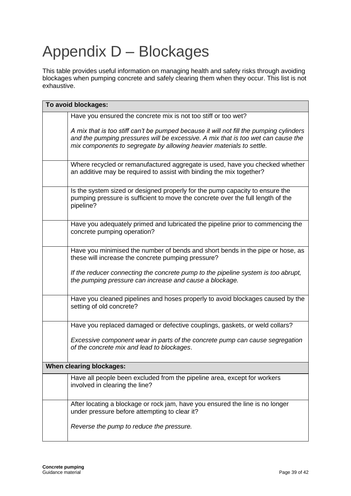# <span id="page-38-0"></span>Appendix D – Blockages

This table provides useful information on managing health and safety risks through avoiding blockages when pumping concrete and safely clearing them when they occur. This list is not exhaustive.

| To avoid blockages:      |                                                                                                                                                                                                                                                    |
|--------------------------|----------------------------------------------------------------------------------------------------------------------------------------------------------------------------------------------------------------------------------------------------|
|                          | Have you ensured the concrete mix is not too stiff or too wet?                                                                                                                                                                                     |
|                          | A mix that is too stiff can't be pumped because it will not fill the pumping cylinders<br>and the pumping pressures will be excessive. A mix that is too wet can cause the<br>mix components to segregate by allowing heavier materials to settle. |
|                          | Where recycled or remanufactured aggregate is used, have you checked whether<br>an additive may be required to assist with binding the mix together?                                                                                               |
|                          | Is the system sized or designed properly for the pump capacity to ensure the<br>pumping pressure is sufficient to move the concrete over the full length of the<br>pipeline?                                                                       |
|                          | Have you adequately primed and lubricated the pipeline prior to commencing the<br>concrete pumping operation?                                                                                                                                      |
|                          | Have you minimised the number of bends and short bends in the pipe or hose, as<br>these will increase the concrete pumping pressure?                                                                                                               |
|                          | If the reducer connecting the concrete pump to the pipeline system is too abrupt,<br>the pumping pressure can increase and cause a blockage.                                                                                                       |
|                          | Have you cleaned pipelines and hoses properly to avoid blockages caused by the<br>setting of old concrete?                                                                                                                                         |
|                          | Have you replaced damaged or defective couplings, gaskets, or weld collars?                                                                                                                                                                        |
|                          | Excessive component wear in parts of the concrete pump can cause segregation<br>of the concrete mix and lead to blockages.                                                                                                                         |
| When clearing blockages: |                                                                                                                                                                                                                                                    |
|                          | Have all people been excluded from the pipeline area, except for workers<br>involved in clearing the line?                                                                                                                                         |
|                          | After locating a blockage or rock jam, have you ensured the line is no longer<br>under pressure before attempting to clear it?                                                                                                                     |
|                          | Reverse the pump to reduce the pressure.                                                                                                                                                                                                           |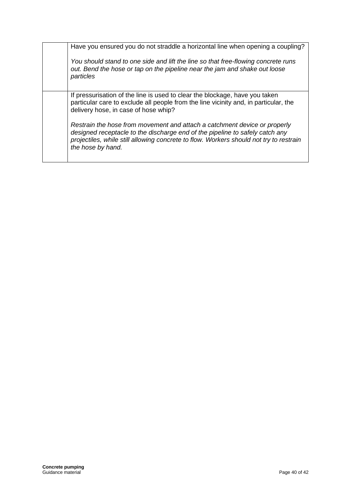| Have you ensured you do not straddle a horizontal line when opening a coupling?                                                                                              |
|------------------------------------------------------------------------------------------------------------------------------------------------------------------------------|
| You should stand to one side and lift the line so that free-flowing concrete runs<br>out. Bend the hose or tap on the pipeline near the jam and shake out loose<br>particles |
|                                                                                                                                                                              |
| If pressurisation of the line is used to clear the blockage, have you taken                                                                                                  |
| particular care to exclude all people from the line vicinity and, in particular, the                                                                                         |
| delivery hose, in case of hose whip?                                                                                                                                         |
|                                                                                                                                                                              |
| Restrain the hose from movement and attach a catchment device or properly                                                                                                    |
|                                                                                                                                                                              |
| designed receptacle to the discharge end of the pipeline to safely catch any                                                                                                 |
| projectiles, while still allowing concrete to flow. Workers should not try to restrain                                                                                       |
| the hose by hand.                                                                                                                                                            |
|                                                                                                                                                                              |
|                                                                                                                                                                              |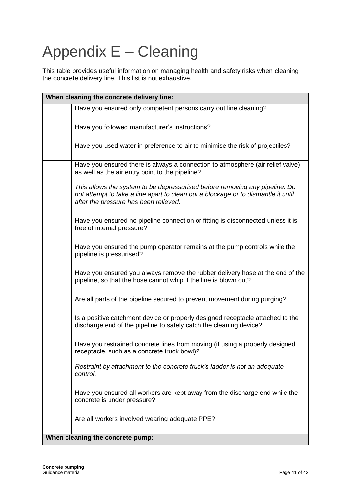# <span id="page-40-0"></span>Appendix E – Cleaning

This table provides useful information on managing health and safety risks when cleaning the concrete delivery line. This list is not exhaustive.

| When cleaning the concrete delivery line:                                                                                                                                                                 |  |
|-----------------------------------------------------------------------------------------------------------------------------------------------------------------------------------------------------------|--|
| Have you ensured only competent persons carry out line cleaning?                                                                                                                                          |  |
| Have you followed manufacturer's instructions?                                                                                                                                                            |  |
| Have you used water in preference to air to minimise the risk of projectiles?                                                                                                                             |  |
| Have you ensured there is always a connection to atmosphere (air relief valve)<br>as well as the air entry point to the pipeline?                                                                         |  |
| This allows the system to be depressurised before removing any pipeline. Do<br>not attempt to take a line apart to clean out a blockage or to dismantle it until<br>after the pressure has been relieved. |  |
| Have you ensured no pipeline connection or fitting is disconnected unless it is<br>free of internal pressure?                                                                                             |  |
| Have you ensured the pump operator remains at the pump controls while the<br>pipeline is pressurised?                                                                                                     |  |
| Have you ensured you always remove the rubber delivery hose at the end of the<br>pipeline, so that the hose cannot whip if the line is blown out?                                                         |  |
| Are all parts of the pipeline secured to prevent movement during purging?                                                                                                                                 |  |
| Is a positive catchment device or properly designed receptacle attached to the<br>discharge end of the pipeline to safely catch the cleaning device?                                                      |  |
| Have you restrained concrete lines from moving (if using a properly designed<br>receptacle, such as a concrete truck bowl)?                                                                               |  |
| Restraint by attachment to the concrete truck's ladder is not an adequate<br>control.                                                                                                                     |  |
| Have you ensured all workers are kept away from the discharge end while the<br>concrete is under pressure?                                                                                                |  |
| Are all workers involved wearing adequate PPE?                                                                                                                                                            |  |
| When cleaning the concrete pump:                                                                                                                                                                          |  |